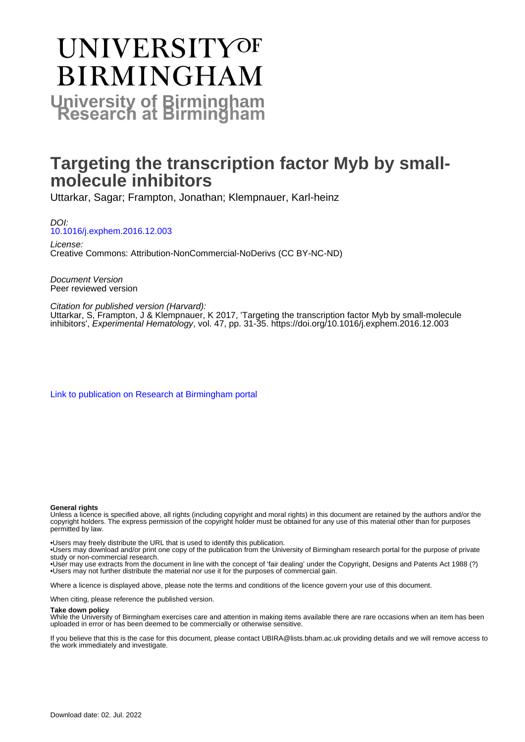# **UNIVERSITYOF BIRMINGHAM University of Birmingham**

# **Targeting the transcription factor Myb by smallmolecule inhibitors**

Uttarkar, Sagar; Frampton, Jonathan; Klempnauer, Karl-heinz

DOI: [10.1016/j.exphem.2016.12.003](https://doi.org/10.1016/j.exphem.2016.12.003)

License: Creative Commons: Attribution-NonCommercial-NoDerivs (CC BY-NC-ND)

Document Version Peer reviewed version

Citation for published version (Harvard):

Uttarkar, S, Frampton, J & Klempnauer, K 2017, 'Targeting the transcription factor Myb by small-molecule inhibitors', Experimental Hematology, vol. 47, pp. 31-35.<https://doi.org/10.1016/j.exphem.2016.12.003>

[Link to publication on Research at Birmingham portal](https://birmingham.elsevierpure.com/en/publications/3e2458c6-1652-4310-926f-fa3c196eef35)

#### **General rights**

Unless a licence is specified above, all rights (including copyright and moral rights) in this document are retained by the authors and/or the copyright holders. The express permission of the copyright holder must be obtained for any use of this material other than for purposes permitted by law.

• Users may freely distribute the URL that is used to identify this publication.

• Users may download and/or print one copy of the publication from the University of Birmingham research portal for the purpose of private study or non-commercial research.

• User may use extracts from the document in line with the concept of 'fair dealing' under the Copyright, Designs and Patents Act 1988 (?) • Users may not further distribute the material nor use it for the purposes of commercial gain.

Where a licence is displayed above, please note the terms and conditions of the licence govern your use of this document.

When citing, please reference the published version.

#### **Take down policy**

While the University of Birmingham exercises care and attention in making items available there are rare occasions when an item has been uploaded in error or has been deemed to be commercially or otherwise sensitive.

If you believe that this is the case for this document, please contact UBIRA@lists.bham.ac.uk providing details and we will remove access to the work immediately and investigate.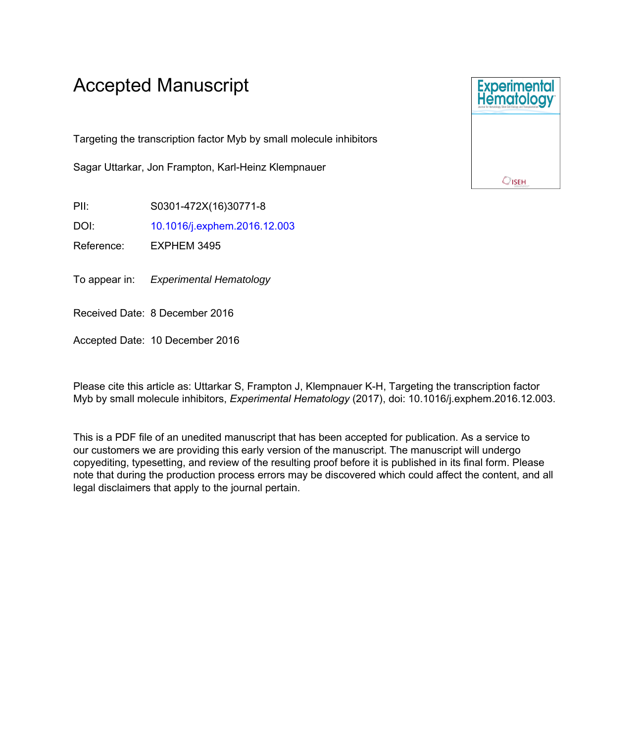# Accepted Manuscript

Targeting the transcription factor Myb by small molecule inhibitors

Sagar Uttarkar, Jon Frampton, Karl-Heinz Klempnauer

PII: S0301-472X(16)30771-8

DOI: [10.1016/j.exphem.2016.12.003](http://dx.doi.org/10.1016/j.exphem.2016.12.003)

Reference: EXPHEM 3495

To appear in: Experimental Hematology

Received Date: 8 December 2016

Accepted Date: 10 December 2016

Please cite this article as: Uttarkar S, Frampton J, Klempnauer K-H, Targeting the transcription factor Myb by small molecule inhibitors, *Experimental Hematology* (2017), doi: 10.1016/j.exphem.2016.12.003.

This is a PDF file of an unedited manuscript that has been accepted for publication. As a service to our customers we are providing this early version of the manuscript. The manuscript will undergo copyediting, typesetting, and review of the resulting proof before it is published in its final form. Please note that during the production process errors may be discovered which could affect the content, and all legal disclaimers that apply to the journal pertain.

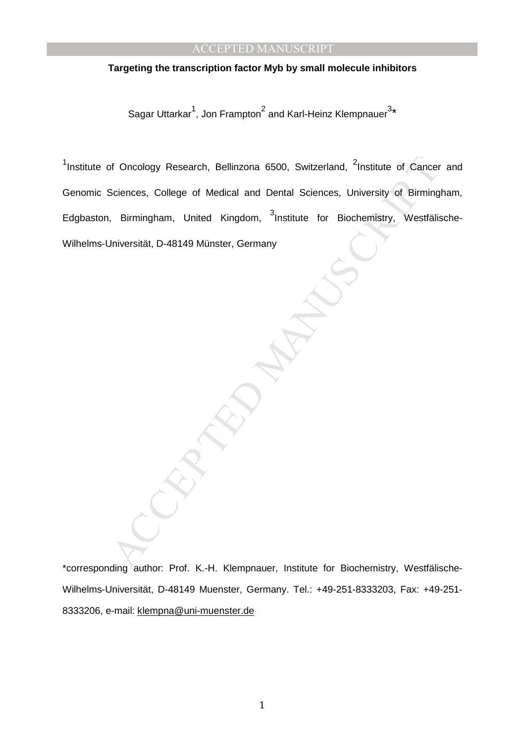# **Targeting the transcription factor Myb by small molecule inhibitors**

Sagar Uttarkar<sup>1</sup>, Jon Frampton<sup>2</sup> and Karl-Heinz Klempnauer<sup>3</sup>\*

of Oncology Research, Bellinzona 6500, Switzerland, <sup>2</sup>Institute of Cancer<br>Sciences, College of Medical and Dental Sciences, University of Birming<br>, Birmingham, United Kingdom, <sup>3</sup>Institute for Biochemistry, Westfälls<br>Jniv <sup>1</sup>Institute of Oncology Research, Bellinzona 6500, Switzerland, <sup>2</sup>Institute of Cancer and Genomic Sciences, College of Medical and Dental Sciences, University of Birmingham, Edgbaston, Birmingham, United Kingdom, <sup>3</sup>Institute for Biochemistry, Westfälische-Wilhelms-Universität, D-48149 Münster, Germany

\*corresponding author: Prof. K.-H. Klempnauer, Institute for Biochemistry, Westfälische-Wilhelms-Universität, D-48149 Muenster, Germany. Tel.: +49-251-8333203, Fax: +49-251- 8333206, e-mail: klempna@uni-muenster.de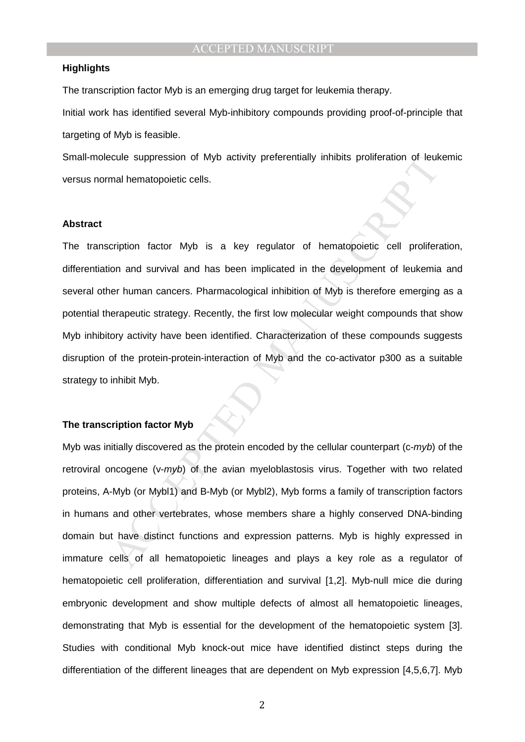## **Highlights**

The transcription factor Myb is an emerging drug target for leukemia therapy.

Initial work has identified several Myb-inhibitory compounds providing proof-of-principle that targeting of Myb is feasible.

Small-molecule suppression of Myb activity preferentially inhibits proliferation of leukemic versus normal hematopoietic cells.

## **Abstract**

ocule suppression of Myb activity preferentially inhibits proliferation of leuk-<br>mal hematopoietic cells.<br>cription factor Myb is a key regulator of hematopoietic cell proliferion<br>and survival and has been implicated in the The transcription factor Myb is a key regulator of hematopoietic cell proliferation, differentiation and survival and has been implicated in the development of leukemia and several other human cancers. Pharmacological inhibition of Myb is therefore emerging as a potential therapeutic strategy. Recently, the first low molecular weight compounds that show Myb inhibitory activity have been identified. Characterization of these compounds suggests disruption of the protein-protein-interaction of Myb and the co-activator p300 as a suitable strategy to inhibit Myb.

#### **The transcription factor Myb**

Myb was initially discovered as the protein encoded by the cellular counterpart ( $c\text{-}myb$ ) of the retroviral oncogene (v-myb) of the avian myeloblastosis virus. Together with two related proteins, A-Myb (or Mybl1) and B-Myb (or Mybl2), Myb forms a family of transcription factors in humans and other vertebrates, whose members share a highly conserved DNA-binding domain but have distinct functions and expression patterns. Myb is highly expressed in immature cells of all hematopoietic lineages and plays a key role as a regulator of hematopoietic cell proliferation, differentiation and survival [1,2]. Myb-null mice die during embryonic development and show multiple defects of almost all hematopoietic lineages, demonstrating that Myb is essential for the development of the hematopoietic system [3]. Studies with conditional Myb knock-out mice have identified distinct steps during the differentiation of the different lineages that are dependent on Myb expression [4,5,6,7]. Myb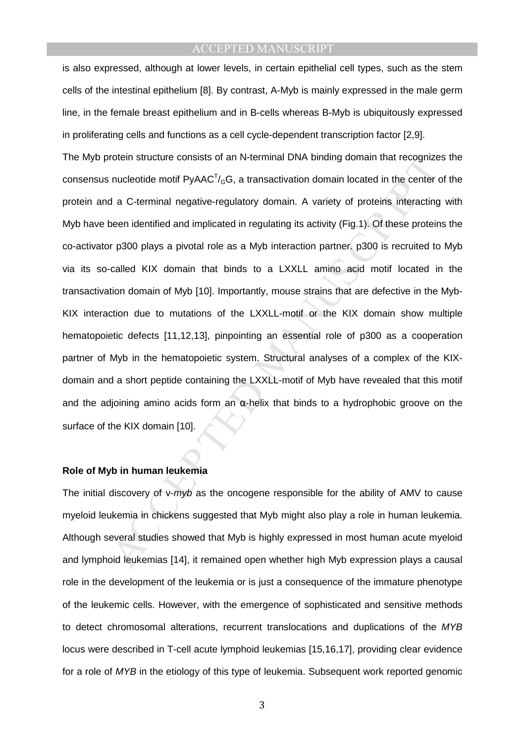is also expressed, although at lower levels, in certain epithelial cell types, such as the stem cells of the intestinal epithelium [8]. By contrast, A-Myb is mainly expressed in the male germ line, in the female breast epithelium and in B-cells whereas B-Myb is ubiquitously expressed in proliferating cells and functions as a cell cycle-dependent transcription factor [2,9].

rotein structure consists of an N-terminal DNA binding domain that recognize<br>nucleotide motif PyAAC<sup>T</sup>/<sub>G</sub>G, a transactivation domain located in the center of<br>a C-terminal negative-regulatory domain. A variety of proteins The Myb protein structure consists of an N-terminal DNA binding domain that recognizes the consensus nucleotide motif  $PyAAC<sup>T</sup>/<sub>G</sub>G$ , a transactivation domain located in the center of the protein and a C-terminal negative-regulatory domain. A variety of proteins interacting with Myb have been identified and implicated in regulating its activity (Fig.1). Of these proteins the co-activator p300 plays a pivotal role as a Myb interaction partner. p300 is recruited to Myb via its so-called KIX domain that binds to a LXXLL amino acid motif located in the transactivation domain of Myb [10]. Importantly, mouse strains that are defective in the Myb-KIX interaction due to mutations of the LXXLL-motif or the KIX domain show multiple hematopoietic defects [11,12,13], pinpointing an essential role of p300 as a cooperation partner of Myb in the hematopoietic system. Structural analyses of a complex of the KIXdomain and a short peptide containing the LXXLL-motif of Myb have revealed that this motif and the adioining amino acids form an  $\alpha$ -helix that binds to a hydrophobic groove on the surface of the KIX domain [10].

#### **Role of Myb in human leukemia**

The initial discovery of v-myb as the oncogene responsible for the ability of AMV to cause myeloid leukemia in chickens suggested that Myb might also play a role in human leukemia. Although several studies showed that Myb is highly expressed in most human acute myeloid and lymphoid leukemias [14], it remained open whether high Myb expression plays a causal role in the development of the leukemia or is just a consequence of the immature phenotype of the leukemic cells. However, with the emergence of sophisticated and sensitive methods to detect chromosomal alterations, recurrent translocations and duplications of the MYB locus were described in T-cell acute lymphoid leukemias [15,16,17], providing clear evidence for a role of MYB in the etiology of this type of leukemia. Subsequent work reported genomic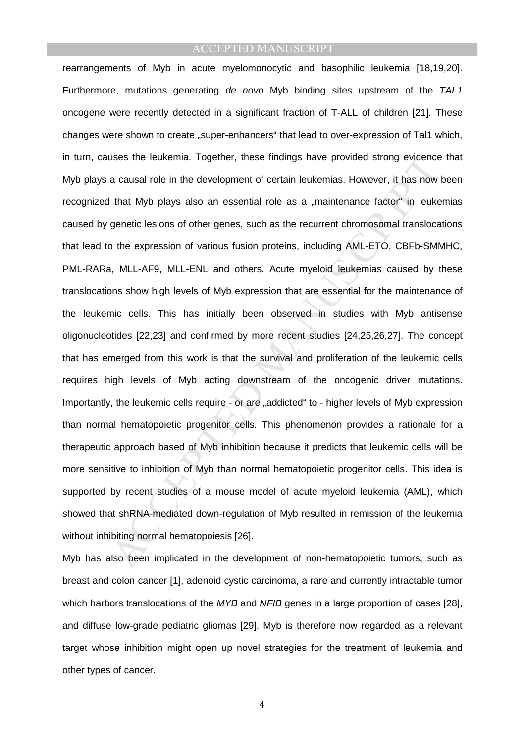uses the leukermia. Together, these findings have provided strong evidence<br>a causal role in the development of certain leukermias. However, it has now<br>that Myb plays also an essential role as a "maintenance factor" in leuk rearrangements of Myb in acute myelomonocytic and basophilic leukemia [18,19,20]. Furthermore, mutations generating de novo Myb binding sites upstream of the TAL1 oncogene were recently detected in a significant fraction of T-ALL of children [21]. These changes were shown to create "super-enhancers" that lead to over-expression of Tal1 which, in turn, causes the leukemia. Together, these findings have provided strong evidence that Myb plays a causal role in the development of certain leukemias. However, it has now been recognized that Myb plays also an essential role as a "maintenance factor" in leukemias caused by genetic lesions of other genes, such as the recurrent chromosomal translocations that lead to the expression of various fusion proteins, including AML-ETO, CBFb-SMMHC, PML-RARa, MLL-AF9, MLL-ENL and others. Acute myeloid leukemias caused by these translocations show high levels of Myb expression that are essential for the maintenance of the leukemic cells. This has initially been observed in studies with Myb antisense oligonucleotides [22,23] and confirmed by more recent studies [24,25,26,27]. The concept that has emerged from this work is that the survival and proliferation of the leukemic cells requires high levels of Myb acting downstream of the oncogenic driver mutations. Importantly, the leukemic cells require - or are "addicted" to - higher levels of Myb expression than normal hematopoietic progenitor cells. This phenomenon provides a rationale for a therapeutic approach based of Myb inhibition because it predicts that leukemic cells will be more sensitive to inhibition of Myb than normal hematopoietic progenitor cells. This idea is supported by recent studies of a mouse model of acute myeloid leukemia (AML), which showed that shRNA-mediated down-regulation of Myb resulted in remission of the leukemia without inhibiting normal hematopoiesis [26].

Myb has also been implicated in the development of non-hematopoietic tumors, such as breast and colon cancer [1], adenoid cystic carcinoma, a rare and currently intractable tumor which harbors translocations of the MYB and NFIB genes in a large proportion of cases [28], and diffuse low-grade pediatric gliomas [29]. Myb is therefore now regarded as a relevant target whose inhibition might open up novel strategies for the treatment of leukemia and other types of cancer.

4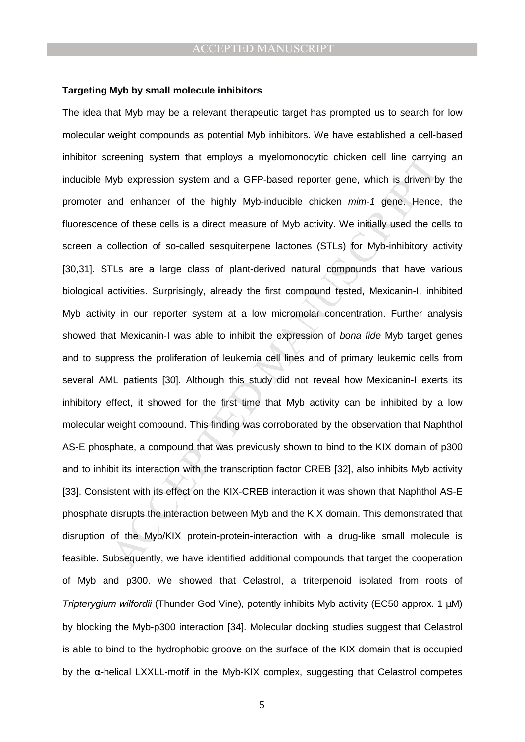#### **Targeting Myb by small molecule inhibitors**

reening system that employs a myelomonocytic chicken cell line carryin<br>Myb expression system and a GFP-based reporter gene, which is driven b<br>and enhancer of the highly Myb-inducible chicken mim-1 gene. Hence<br>ce of these c The idea that Myb may be a relevant therapeutic target has prompted us to search for low molecular weight compounds as potential Myb inhibitors. We have established a cell-based inhibitor screening system that employs a myelomonocytic chicken cell line carrying an inducible Myb expression system and a GFP-based reporter gene, which is driven by the promoter and enhancer of the highly Myb-inducible chicken mim-1 gene. Hence, the fluorescence of these cells is a direct measure of Myb activity. We initially used the cells to screen a collection of so-called sesquiterpene lactones (STLs) for Myb-inhibitory activity [30,31]. STLs are a large class of plant-derived natural compounds that have various biological activities. Surprisingly, already the first compound tested, Mexicanin-I, inhibited Myb activity in our reporter system at a low micromolar concentration. Further analysis showed that Mexicanin-I was able to inhibit the expression of *bona fide* Myb target genes and to suppress the proliferation of leukemia cell lines and of primary leukemic cells from several AML patients [30]. Although this study did not reveal how Mexicanin-I exerts its inhibitory effect, it showed for the first time that Myb activity can be inhibited by a low molecular weight compound. This finding was corroborated by the observation that Naphthol AS-E phosphate, a compound that was previously shown to bind to the KIX domain of p300 and to inhibit its interaction with the transcription factor CREB [32], also inhibits Myb activity [33]. Consistent with its effect on the KIX-CREB interaction it was shown that Naphthol AS-E phosphate disrupts the interaction between Myb and the KIX domain. This demonstrated that disruption of the Myb/KIX protein-protein-interaction with a drug-like small molecule is feasible. Subsequently, we have identified additional compounds that target the cooperation of Myb and p300. We showed that Celastrol, a triterpenoid isolated from roots of Tripterygium wilfordii (Thunder God Vine), potently inhibits Myb activity (EC50 approx. 1 µM) by blocking the Myb-p300 interaction [34]. Molecular docking studies suggest that Celastrol is able to bind to the hydrophobic groove on the surface of the KIX domain that is occupied by the α-helical LXXLL-motif in the Myb-KIX complex, suggesting that Celastrol competes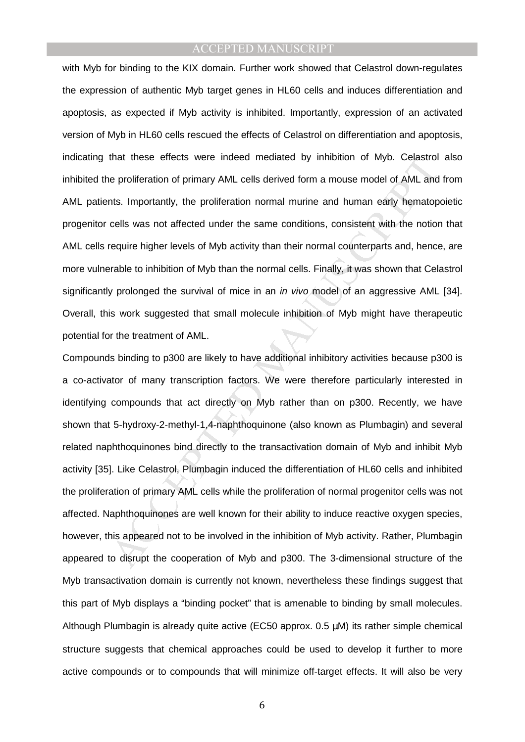with Myb for binding to the KIX domain. Further work showed that Celastrol down-regulates the expression of authentic Myb target genes in HL60 cells and induces differentiation and apoptosis, as expected if Myb activity is inhibited. Importantly, expression of an activated version of Myb in HL60 cells rescued the effects of Celastrol on differentiation and apoptosis, indicating that these effects were indeed mediated by inhibition of Myb. Celastrol also inhibited the proliferation of primary AML cells derived form a mouse model of AML and from AML patients. Importantly, the proliferation normal murine and human early hematopoietic progenitor cells was not affected under the same conditions, consistent with the notion that AML cells require higher levels of Myb activity than their normal counterparts and, hence, are more vulnerable to inhibition of Myb than the normal cells. Finally, it was shown that Celastrol significantly prolonged the survival of mice in an *in vivo* model of an aggressive AML [34]. Overall, this work suggested that small molecule inhibition of Myb might have therapeutic potential for the treatment of AML.

that these effects were indeed mediated by inhibition of Myb. Celastrol<br>e proliferation of primary AML cells derived form a mouse model of AML and<br>this. Importantly, the proliferation normal murine and human early hematop<br> Compounds binding to p300 are likely to have additional inhibitory activities because p300 is a co-activator of many transcription factors. We were therefore particularly interested in identifying compounds that act directly on Myb rather than on p300. Recently, we have shown that 5-hydroxy-2-methyl-1,4-naphthoquinone (also known as Plumbagin) and several related naphthoquinones bind directly to the transactivation domain of Myb and inhibit Myb activity [35]. Like Celastrol, Plumbagin induced the differentiation of HL60 cells and inhibited the proliferation of primary AML cells while the proliferation of normal progenitor cells was not affected. Naphthoquinones are well known for their ability to induce reactive oxygen species, however, this appeared not to be involved in the inhibition of Myb activity. Rather, Plumbagin appeared to disrupt the cooperation of Myb and p300. The 3-dimensional structure of the Myb transactivation domain is currently not known, nevertheless these findings suggest that this part of Myb displays a "binding pocket" that is amenable to binding by small molecules. Although Plumbagin is already quite active (EC50 approx. 0.5 µM) its rather simple chemical structure suggests that chemical approaches could be used to develop it further to more active compounds or to compounds that will minimize off-target effects. It will also be very

6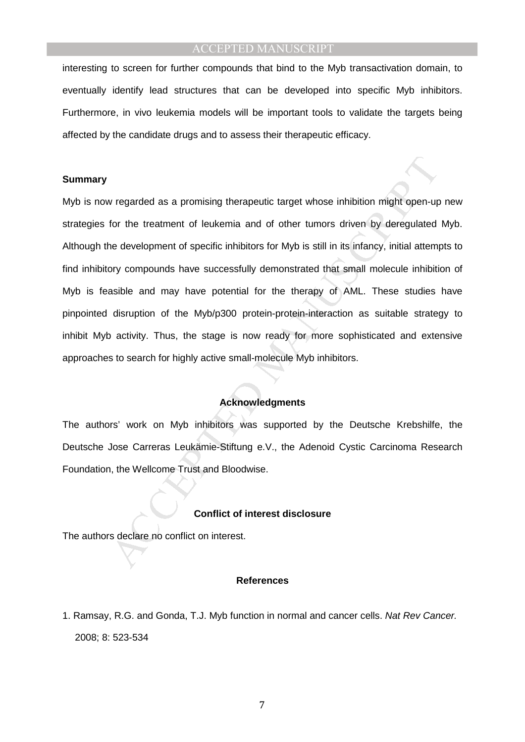interesting to screen for further compounds that bind to the Myb transactivation domain, to eventually identify lead structures that can be developed into specific Myb inhibitors. Furthermore, in vivo leukemia models will be important tools to validate the targets being affected by the candidate drugs and to assess their therapeutic efficacy.

## **Summary**

v regarded as a promising therapeutic target whose inhibition might open-up<br>for the treatment of leukemia and of other tumors driven by deregulated<br>ne development of specific inhibitiors for Myb is still in its infancy, in Myb is now regarded as a promising therapeutic target whose inhibition might open-up new strategies for the treatment of leukemia and of other tumors driven by deregulated Myb. Although the development of specific inhibitors for Myb is still in its infancy, initial attempts to find inhibitory compounds have successfully demonstrated that small molecule inhibition of Myb is feasible and may have potential for the therapy of AML. These studies have pinpointed disruption of the Myb/p300 protein-protein-interaction as suitable strategy to inhibit Myb activity. Thus, the stage is now ready for more sophisticated and extensive approaches to search for highly active small-molecule Myb inhibitors.

## **Acknowledgments**

The authors' work on Myb inhibitors was supported by the Deutsche Krebshilfe, the Deutsche Jose Carreras Leukämie-Stiftung e.V., the Adenoid Cystic Carcinoma Research Foundation, the Wellcome Trust and Bloodwise.

#### **Conflict of interest disclosure**

The authors declare no conflict on interest.

#### **References**

1. Ramsay, R.G. and Gonda, T.J. Myb function in normal and cancer cells. Nat Rev Cancer. 2008; 8: 523-534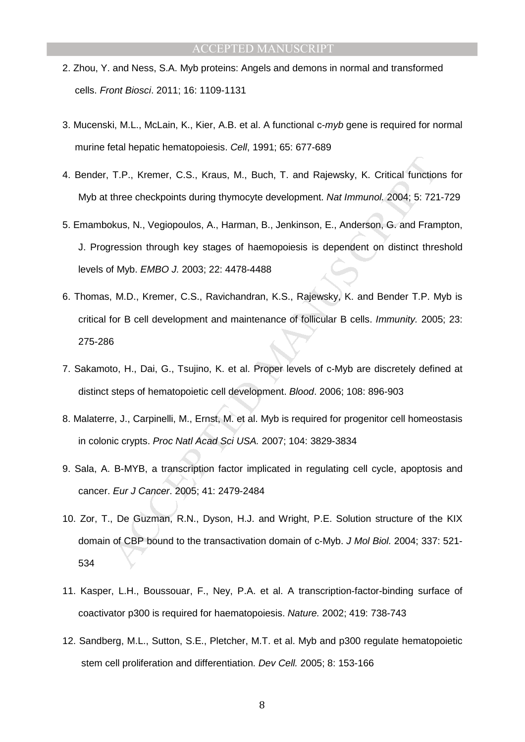- 2. Zhou, Y. and Ness, S.A. Myb proteins: Angels and demons in normal and transformed cells. Front Biosci. 2011; 16: 1109-1131
- 3. Mucenski, M.L., McLain, K., Kier, A.B. et al. A functional c-myb gene is required for normal murine fetal hepatic hematopoiesis. Cell, 1991; 65: 677-689
- 4. Bender, T.P., Kremer, C.S., Kraus, M., Buch, T. and Rajewsky, K. Critical functions for Myb at three checkpoints during thymocyte development. Nat Immunol. 2004; 5: 721-729
- 5. Emambokus, N., Vegiopoulos, A., Harman, B., Jenkinson, E., Anderson, G. and Frampton, J. Progression through key stages of haemopoiesis is dependent on distinct threshold levels of Myb. EMBO J. 2003; 22: 4478-4488
- T.P., Kremer, C.S., Kraus, M., Buch, T. and Rajewsky, K. Critical function<br>three checkpoints during thymocyte development. *Nat Immunol.* 2004; 5: 721<br>bkus, N., Vegiopoulos, A., Harman, B., Jenkinson, E., Anderson, G. and 6. Thomas, M.D., Kremer, C.S., Ravichandran, K.S., Rajewsky, K. and Bender T.P. Myb is critical for B cell development and maintenance of follicular B cells. Immunity. 2005; 23: 275-286
- 7. Sakamoto, H., Dai, G., Tsujino, K. et al. Proper levels of c-Myb are discretely defined at distinct steps of hematopoietic cell development. Blood. 2006; 108: 896-903
- 8. Malaterre, J., Carpinelli, M., Ernst, M. et al. Myb is required for progenitor cell homeostasis in colonic crypts. Proc Natl Acad Sci USA. 2007; 104: 3829-3834
- 9. Sala, A. B-MYB, a transcription factor implicated in regulating cell cycle, apoptosis and cancer. Eur J Cancer. 2005; 41: 2479-2484
- 10. Zor, T., De Guzman, R.N., Dyson, H.J. and Wright, P.E. Solution structure of the KIX domain of CBP bound to the transactivation domain of c-Myb. J Mol Biol. 2004; 337: 521- 534
- 11. Kasper, L.H., Boussouar, F., Ney, P.A. et al. A transcription-factor-binding surface of coactivator p300 is required for haematopoiesis. Nature. 2002; 419: 738-743
- 12. Sandberg, M.L., Sutton, S.E., Pletcher, M.T. et al. Myb and p300 regulate hematopoietic stem cell proliferation and differentiation. Dev Cell. 2005; 8: 153-166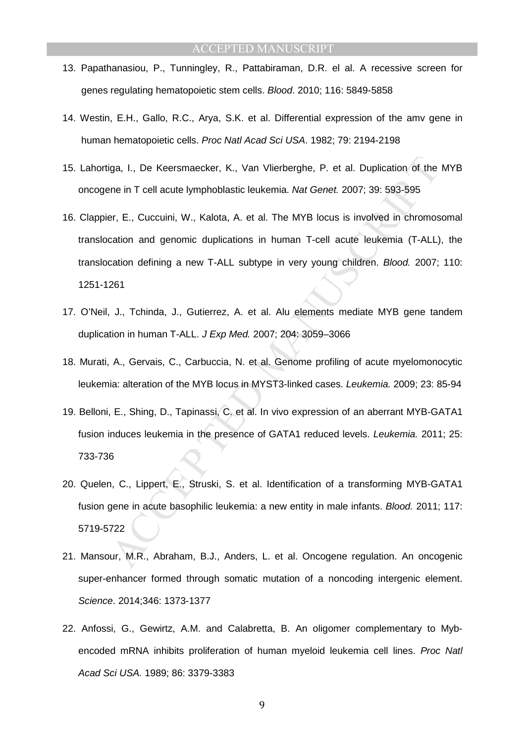- 13. Papathanasiou, P., Tunningley, R., Pattabiraman, D.R. el al. A recessive screen for genes regulating hematopoietic stem cells. Blood. 2010; 116: 5849-5858
- 14. Westin, E.H., Gallo, R.C., Arya, S.K. et al. Differential expression of the amv gene in human hematopoietic cells. Proc Natl Acad Sci USA. 1982; 79: 2194-2198
- 15. Lahortiga, I., De Keersmaecker, K., Van Vlierberghe, P. et al. Duplication of the MYB oncogene in T cell acute lymphoblastic leukemia. Nat Genet. 2007; 39: 593-595
- iga, I., De Keersmaecker, K., Van Vlierberghe, P. et al. Duplication of the<br>ne in T cell acute lymphoblastic leukemia. *Nat Genet.* 2007; 39: 593-595<br>F. E., Cuccuini, W., Kalota, A. et al. The MYB locus is involved in chro 16. Clappier, E., Cuccuini, W., Kalota, A. et al. The MYB locus is involved in chromosomal translocation and genomic duplications in human T-cell acute leukemia (T-ALL), the translocation defining a new T-ALL subtype in very young children. Blood. 2007; 110: 1251-1261
- 17. O'Neil, J., Tchinda, J., Gutierrez, A. et al. Alu elements mediate MYB gene tandem duplication in human T-ALL. J Exp Med. 2007; 204: 3059–3066
- 18. Murati, A., Gervais, C., Carbuccia, N. et al. Genome profiling of acute myelomonocytic leukemia: alteration of the MYB locus in MYST3-linked cases. Leukemia. 2009; 23: 85-94
- 19. Belloni, E., Shing, D., Tapinassi, C. et al. In vivo expression of an aberrant MYB-GATA1 fusion induces leukemia in the presence of GATA1 reduced levels. Leukemia. 2011; 25: 733-736
- 20. Quelen, C., Lippert, E., Struski, S. et al. Identification of a transforming MYB-GATA1 fusion gene in acute basophilic leukemia: a new entity in male infants. Blood. 2011; 117: 5719-5722
- 21. Mansour, M.R., Abraham, B.J., Anders, L. et al. Oncogene regulation. An oncogenic super-enhancer formed through somatic mutation of a noncoding intergenic element. Science. 2014;346: 1373-1377
- 22. Anfossi, G., Gewirtz, A.M. and Calabretta, B. An oligomer complementary to Mybencoded mRNA inhibits proliferation of human myeloid leukemia cell lines. Proc Natl Acad Sci USA. 1989; 86: 3379-3383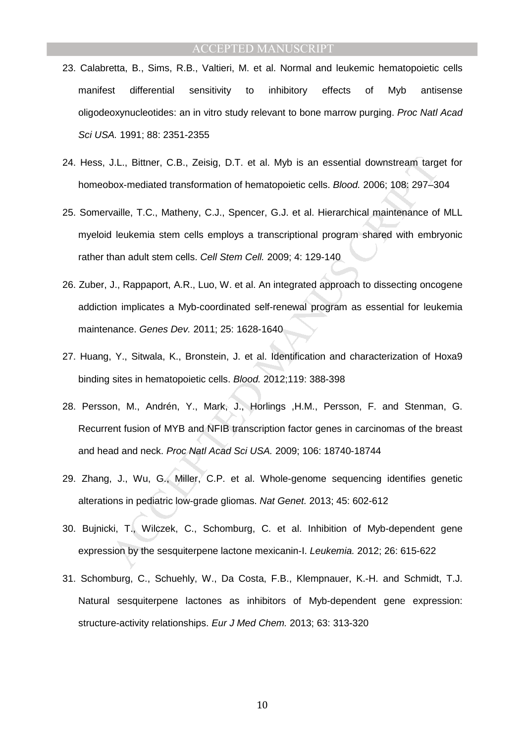- 23. Calabretta, B., Sims, R.B., Valtieri, M. et al. Normal and leukemic hematopoietic cells manifest differential sensitivity to inhibitory effects of Myb antisense oligodeoxynucleotides: an in vitro study relevant to bone marrow purging. Proc Natl Acad Sci USA. 1991; 88: 2351-2355
- 24. Hess, J.L., Bittner, C.B., Zeisig, D.T. et al. Myb is an essential downstream target for homeobox-mediated transformation of hematopoietic cells. Blood. 2006; 108: 297–304
- J.L., Bittner, C.B., Zeisig, D.T. et al. Myb is an essential downstream targ<br>box-mediated transformation of hematopoietic cells. *Blood.* 2006; 108: 297-3<br>vaille, T.C., Matheny, C.J., Spencer, G.J. et al. Hierarchical main 25. Somervaille, T.C., Matheny, C.J., Spencer, G.J. et al. Hierarchical maintenance of MLL myeloid leukemia stem cells employs a transcriptional program shared with embryonic rather than adult stem cells. Cell Stem Cell. 2009; 4: 129-140
- 26. Zuber, J., Rappaport, A.R., Luo, W. et al. An integrated approach to dissecting oncogene addiction implicates a Myb-coordinated self-renewal program as essential for leukemia maintenance. Genes Dev. 2011; 25: 1628-1640
- 27. Huang, Y., Sitwala, K., Bronstein, J. et al. Identification and characterization of Hoxa9 binding sites in hematopoietic cells. Blood. 2012;119: 388-398
- 28. Persson, M., Andrén, Y., Mark, J., Horlings ,H.M., Persson, F. and Stenman, G. Recurrent fusion of MYB and NFIB transcription factor genes in carcinomas of the breast and head and neck. Proc Natl Acad Sci USA. 2009; 106: 18740-18744
- 29. Zhang, J., Wu, G., Miller, C.P. et al. Whole-genome sequencing identifies genetic alterations in pediatric low-grade gliomas. Nat Genet. 2013; 45: 602-612
- 30. Bujnicki, T., Wilczek, C., Schomburg, C. et al. Inhibition of Myb-dependent gene expression by the sesquiterpene lactone mexicanin-I. Leukemia. 2012; 26: 615-622
- 31. Schomburg, C., Schuehly, W., Da Costa, F.B., Klempnauer, K.-H. and Schmidt, T.J. Natural sesquiterpene lactones as inhibitors of Myb-dependent gene expression: structure-activity relationships. Eur J Med Chem. 2013; 63: 313-320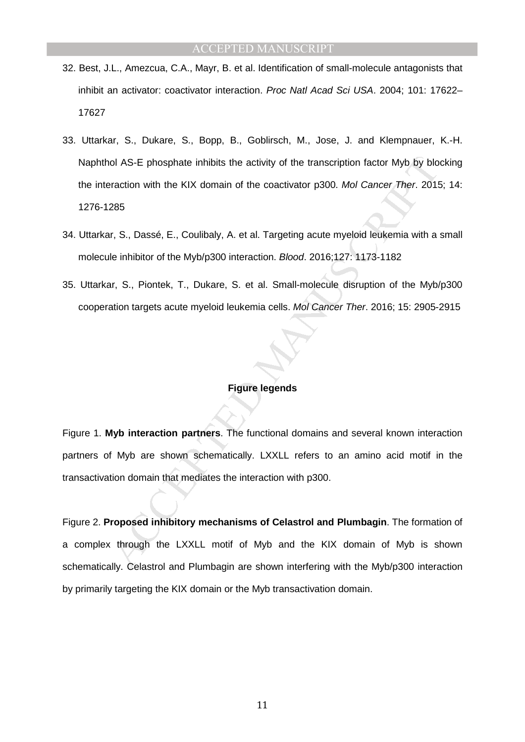- 32. Best, J.L., Amezcua, C.A., Mayr, B. et al. Identification of small-molecule antagonists that inhibit an activator: coactivator interaction. Proc Natl Acad Sci USA. 2004; 101: 17622– 17627
- ol AS-E phosphate inhibits the activity of the transcription factor Myb by blomation with the KIX domain of the coactivator p300. *Mol Cancer Ther*. 2018<br>285<br>Tr, S., Dassé, E., Coulibaly, A. et al. Targeting acute myeloid 33. Uttarkar, S., Dukare, S., Bopp, B., Goblirsch, M., Jose, J. and Klempnauer, K.-H. Naphthol AS-E phosphate inhibits the activity of the transcription factor Myb by blocking the interaction with the KIX domain of the coactivator p300. Mol Cancer Ther. 2015; 14: 1276-1285
- 34. Uttarkar, S., Dassé, E., Coulibaly, A. et al. Targeting acute myeloid leukemia with a small molecule inhibitor of the Myb/p300 interaction. Blood. 2016;127: 1173-1182
- 35. Uttarkar, S., Piontek, T., Dukare, S. et al. Small-molecule disruption of the Myb/p300 cooperation targets acute myeloid leukemia cells. Mol Cancer Ther. 2016; 15: 2905-2915

# **Figure legends**

Figure 1. **Myb interaction partners**. The functional domains and several known interaction partners of Myb are shown schematically. LXXLL refers to an amino acid motif in the transactivation domain that mediates the interaction with p300.

Figure 2. **Proposed inhibitory mechanisms of Celastrol and Plumbagin**. The formation of a complex through the LXXLL motif of Myb and the KIX domain of Myb is shown schematically. Celastrol and Plumbagin are shown interfering with the Myb/p300 interaction by primarily targeting the KIX domain or the Myb transactivation domain.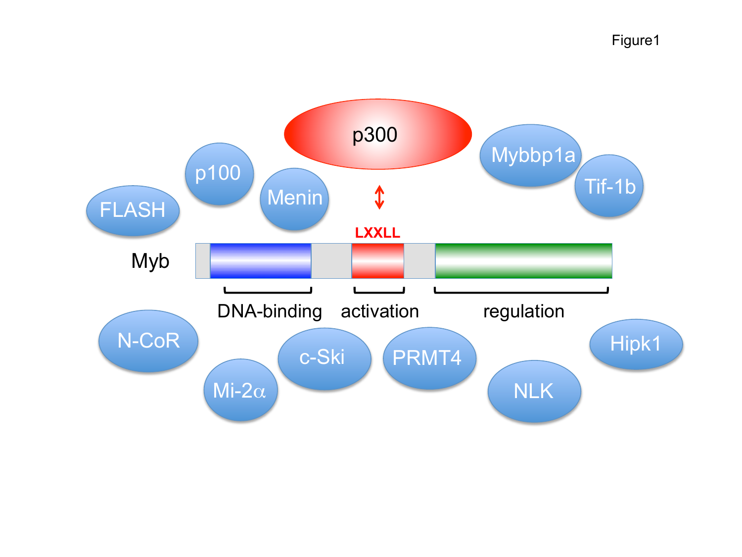Figure1